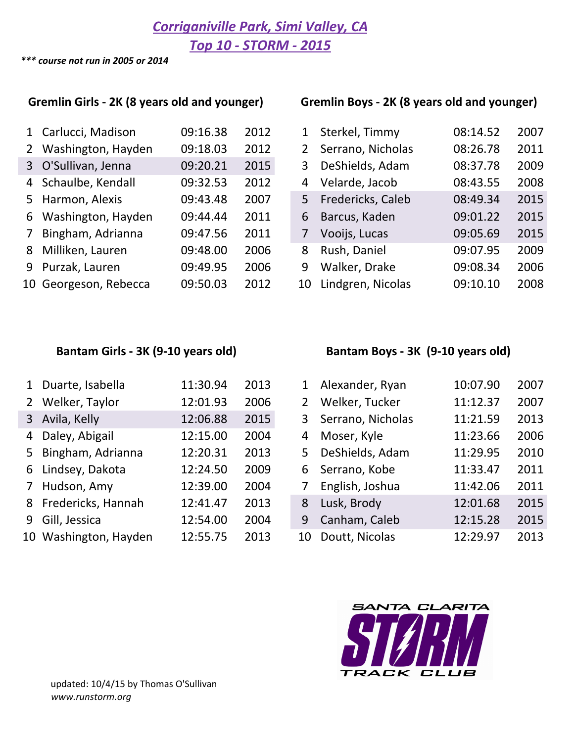**Corriganiville Park, Simi Valley, CA** 

*Top 10 - STORM - 2015*

*\*\*\* course not run in 2005 or 2014*

## Gremlin Girls - 2K (8 years old and younger) Gremlin Boys - 2K (8 years old and younger)

| 1 Carlucci, Madison   | 09:16.38 | 2012 | 1  | Sterkel, Timmy    | 08:14.52 | 2007 |
|-----------------------|----------|------|----|-------------------|----------|------|
| 2 Washington, Hayden  | 09:18.03 | 2012 | 2  | Serrano, Nicholas | 08:26.78 | 2011 |
| 3 O'Sullivan, Jenna   | 09:20.21 | 2015 | 3  | DeShields, Adam   | 08:37.78 | 2009 |
| 4 Schaulbe, Kendall   | 09:32.53 | 2012 | 4  | Velarde, Jacob    | 08:43.55 | 2008 |
| 5 Harmon, Alexis      | 09:43.48 | 2007 | 5  | Fredericks, Caleb | 08:49.34 | 2015 |
| 6 Washington, Hayden  | 09:44.44 | 2011 | 6  | Barcus, Kaden     | 09:01.22 | 2015 |
| 7 Bingham, Adrianna   | 09:47.56 | 2011 |    | Vooijs, Lucas     | 09:05.69 | 2015 |
| 8 Milliken, Lauren    | 09:48.00 | 2006 | 8  | Rush, Daniel      | 09:07.95 | 2009 |
| 9 Purzak, Lauren      | 09:49.95 | 2006 | 9  | Walker, Drake     | 09:08.34 | 2006 |
| 10 Georgeson, Rebecca | 09:50.03 | 2012 | 10 | Lindgren, Nicolas | 09:10.10 | 2008 |

|                 | 1 Carlucci, Madison   | 09:16.38 | 2012 | 1              | Sterkel, Timmy    | 08:14.52 | 2007 |
|-----------------|-----------------------|----------|------|----------------|-------------------|----------|------|
| $2^{\circ}$     | Washington, Hayden    | 09:18.03 | 2012 | $\overline{2}$ | Serrano, Nicholas | 08:26.78 | 2011 |
|                 | 3 O'Sullivan, Jenna   | 09:20.21 | 2015 | 3              | DeShields, Adam   | 08:37.78 | 2009 |
|                 | 4 Schaulbe, Kendall   | 09:32.53 | 2012 | 4              | Velarde, Jacob    | 08:43.55 | 2008 |
|                 | 5 Harmon, Alexis      | 09:43.48 | 2007 | 5              | Fredericks, Caleb | 08:49.34 | 2015 |
| 6               | Washington, Hayden    | 09:44.44 | 2011 | 6              | Barcus, Kaden     | 09:01.22 | 2015 |
| $7\overline{ }$ | Bingham, Adrianna     | 09:47.56 | 2011 | 7              | Vooijs, Lucas     | 09:05.69 | 2015 |
| 8               | Milliken, Lauren      | 09:48.00 | 2006 | 8              | Rush, Daniel      | 09:07.95 | 2009 |
|                 | 9 Purzak, Lauren      | 09:49.95 | 2006 | 9              | Walker, Drake     | 09:08.34 | 2006 |
|                 | 10 Georgeson, Rebecca | 09:50.03 | 2012 | 10             | Lindgren, Nicolas | 09:10.10 | 2008 |

| 1 | Duarte, Isabella      | 11:30.94 | 2013 | 1              | Alexander, Ryan   | 10:07.90 | 2007 |
|---|-----------------------|----------|------|----------------|-------------------|----------|------|
|   | 2 Welker, Taylor      | 12:01.93 | 2006 | $\overline{2}$ | Welker, Tucker    | 11:12.37 | 2007 |
|   | 3 Avila, Kelly        | 12:06.88 | 2015 | $\mathbf{3}$   | Serrano, Nicholas | 11:21.59 | 2013 |
|   | 4 Daley, Abigail      | 12:15.00 | 2004 | 4              | Moser, Kyle       | 11:23.66 | 2006 |
|   | 5 Bingham, Adrianna   | 12:20.31 | 2013 | 5.             | DeShields, Adam   | 11:29.95 | 2010 |
|   | 6 Lindsey, Dakota     | 12:24.50 | 2009 | 6              | Serrano, Kobe     | 11:33.47 | 2011 |
|   | 7 Hudson, Amy         | 12:39.00 | 2004 |                | English, Joshua   | 11:42.06 | 2011 |
|   | 8 Fredericks, Hannah  | 12:41.47 | 2013 | 8              | Lusk, Brody       | 12:01.68 | 2015 |
|   | 9 Gill, Jessica       | 12:54.00 | 2004 | 9              | Canham, Caleb     | 12:15.28 | 2015 |
|   | 10 Washington, Hayden | 12:55.75 | 2013 | 10             | Doutt, Nicolas    | 12:29.97 | 2013 |

### Bantam Girls - 3K (9-10 years old) **Bantam Boys** - 3K (9-10 years old)

|                | Alexander, Ryan   | 10:07.90 | 2007 |
|----------------|-------------------|----------|------|
| $\overline{2}$ | Welker, Tucker    | 11:12.37 | 2007 |
| 3              | Serrano, Nicholas | 11:21.59 | 2013 |
| 4              | Moser, Kyle       | 11:23.66 | 2006 |
| 5              | DeShields, Adam   | 11:29.95 | 2010 |
| 6              | Serrano, Kobe     | 11:33.47 | 2011 |
| 7              | English, Joshua   | 11:42.06 | 2011 |
| 8              | Lusk, Brody       | 12:01.68 | 2015 |
| 9              | Canham, Caleb     | 12:15.28 | 2015 |
| 10             | Doutt, Nicolas    | 12:29.97 | 2013 |

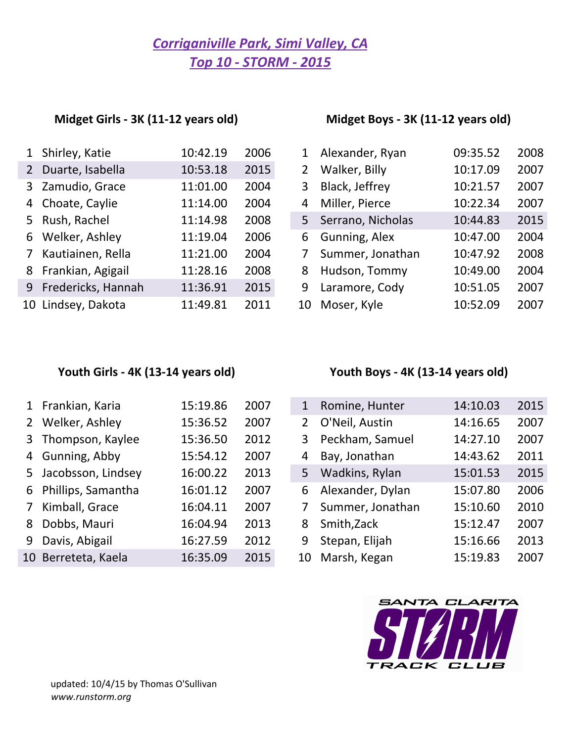# *Top 10 - STORM - 2015* **Corriganiville Park, Simi Valley, CA**

## **Midget Girls - 3K (11-12 years old)**

| Midget Boys - 3K (11-12 years old) |  |  |
|------------------------------------|--|--|
|                                    |  |  |

| Shirley, Katie | 10:42.19                                                                                                                                                                                          | 2006 | 1              | Alexander, Ryan   | 09:35.52 | 2008 |
|----------------|---------------------------------------------------------------------------------------------------------------------------------------------------------------------------------------------------|------|----------------|-------------------|----------|------|
|                | 10:53.18                                                                                                                                                                                          | 2015 | $\overline{2}$ | Walker, Billy     | 10:17.09 | 2007 |
|                | 11:01.00                                                                                                                                                                                          | 2004 | 3              | Black, Jeffrey    | 10:21.57 | 2007 |
|                | 11:14.00                                                                                                                                                                                          | 2004 | 4              | Miller, Pierce    | 10:22.34 | 2007 |
|                | 11:14.98                                                                                                                                                                                          | 2008 | 5              | Serrano, Nicholas | 10:44.83 | 2015 |
|                | 11:19.04                                                                                                                                                                                          | 2006 | 6              | Gunning, Alex     | 10:47.00 | 2004 |
|                | 11:21.00                                                                                                                                                                                          | 2004 |                | Summer, Jonathan  | 10:47.92 | 2008 |
|                | 11:28.16                                                                                                                                                                                          | 2008 | 8              | Hudson, Tommy     | 10:49.00 | 2004 |
|                | 11:36.91                                                                                                                                                                                          | 2015 | 9              | Laramore, Cody    | 10:51.05 | 2007 |
|                | 11:49.81                                                                                                                                                                                          | 2011 | 10             | Moser, Kyle       | 10:52.09 | 2007 |
|                | 1<br>2 Duarte, Isabella<br>3 Zamudio, Grace<br>4 Choate, Caylie<br>5 Rush, Rachel<br>6 Welker, Ashley<br>7 Kautiainen, Rella<br>8 Frankian, Agigail<br>9 Fredericks, Hannah<br>10 Lindsey, Dakota |      |                |                   |          |      |

| 1              | Alexander, Ryan   | 09:35.52 | 2008 |
|----------------|-------------------|----------|------|
| $\overline{2}$ | Walker, Billy     | 10:17.09 | 2007 |
| 3              | Black, Jeffrey    | 10:21.57 | 2007 |
| 4              | Miller, Pierce    | 10:22.34 | 2007 |
| 5              | Serrano, Nicholas | 10:44.83 | 2015 |
| 6              | Gunning, Alex     | 10:47.00 | 2004 |
| 7              | Summer, Jonathan  | 10:47.92 | 2008 |
| 8              | Hudson, Tommy     | 10:49.00 | 2004 |
| 9              | Laramore, Cody    | 10:51.05 | 2007 |
| 10             | Moser, Kyle       | 10:52.09 | 2007 |

|             | 1 Frankian, Karia    | 15:19.86 | 2007 | 1           | Romine, Hunter   | 14:10.03 | 2015 |
|-------------|----------------------|----------|------|-------------|------------------|----------|------|
|             | 2 Welker, Ashley     | 15:36.52 | 2007 | $2^{\circ}$ | O'Neil, Austin   | 14:16.65 | 2007 |
|             | 3 Thompson, Kaylee   | 15:36.50 | 2012 | 3           | Peckham, Samuel  | 14:27.10 | 2007 |
|             | 4 Gunning, Abby      | 15:54.12 | 2007 | 4           | Bay, Jonathan    | 14:43.62 | 2011 |
|             | 5 Jacobsson, Lindsey | 16:00.22 | 2013 | 5           | Wadkins, Rylan   | 15:01.53 | 2015 |
|             | 6 Phillips, Samantha | 16:01.12 | 2007 | 6           | Alexander, Dylan | 15:07.80 | 2006 |
| $7^{\circ}$ | Kimball, Grace       | 16:04.11 | 2007 |             | Summer, Jonathan | 15:10.60 | 2010 |
| 8           | Dobbs, Mauri         | 16:04.94 | 2013 | 8           | Smith, Zack      | 15:12.47 | 2007 |
|             | 9 Davis, Abigail     | 16:27.59 | 2012 | 9           | Stepan, Elijah   | 15:16.66 | 2013 |
|             | 10 Berreteta, Kaela  | 16:35.09 | 2015 | 10          | Marsh, Kegan     | 15:19.83 | 2007 |

## Youth Girls - 4K (13-14 years old) **Youth Boys** - 4K (13-14 years old)

| $\mathbf{1}$   | Romine, Hunter   | 14:10.03 | 2015 |
|----------------|------------------|----------|------|
| $\overline{2}$ | O'Neil, Austin   | 14:16.65 | 2007 |
| 3              | Peckham, Samuel  | 14:27.10 | 2007 |
| 4              | Bay, Jonathan    | 14:43.62 | 2011 |
| 5              | Wadkins, Rylan   | 15:01.53 | 2015 |
| 6              | Alexander, Dylan | 15:07.80 | 2006 |
| 7              | Summer, Jonathan | 15:10.60 | 2010 |
| 8              | Smith, Zack      | 15:12.47 | 2007 |
| 9              | Stepan, Elijah   | 15:16.66 | 2013 |
| 10             | Marsh, Kegan     | 15:19.83 | 2007 |